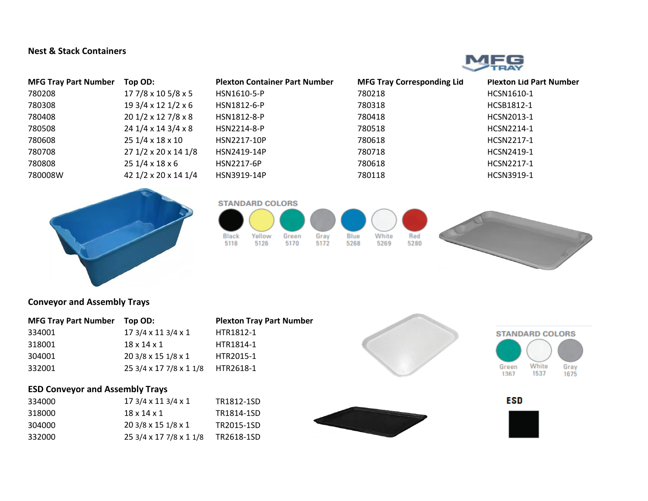## **Nest & Stack Containers**



| <b>MFG Tray Part Number</b> | Top OD:                       | <b>Plexton Container Part Number</b> | <b>MFG Tray Corresponding Lid</b> | <b>Plexton Lid Part Number</b> |
|-----------------------------|-------------------------------|--------------------------------------|-----------------------------------|--------------------------------|
| 780208                      | 17 7/8 x 10 5/8 x 5           | HSN1610-5-P                          | 780218                            | HCSN1610-1                     |
| 780308                      | $193/4 \times 121/2 \times 6$ | HSN1812-6-P                          | 780318                            | HCSB1812-1                     |
| 780408                      | $201/2 \times 127/8 \times 8$ | HSN1812-8-P                          | 780418                            | HCSN2013-1                     |
| 780508                      | $241/4 \times 143/4 \times 8$ | HSN2214-8-P                          | 780518                            | HCSN2214-1                     |
| 780608                      | 25 1/4 x 18 x 10              | HSN2217-10P                          | 780618                            | HCSN2217-1                     |
| 780708                      | 27 1/2 x 20 x 14 1/8          | HSN2419-14P                          | 780718                            | HCSN2419-1                     |
| 780808                      | $251/4 \times 18 \times 6$    | HSN2217-6P                           | 780618                            | HCSN2217-1                     |
| 780008W                     | 42 1/2 x 20 x 14 1/4          | HSN3919-14P                          | 780118                            | HCSN3919-1                     |









## **Conveyor and Assembly Trays**

| <b>MFG Tray Part Number</b> | Top OD:                       | <b>Plexton Tray Part Number</b> |
|-----------------------------|-------------------------------|---------------------------------|
| 334001                      | $173/4 \times 113/4 \times 1$ | HTR1812-1                       |
| 318001                      | $18 \times 14 \times 1$       | HTR1814-1                       |
| 304001                      | 20 3/8 x 15 1/8 x 1           | HTR2015-1                       |
| 332001                      | 25 3/4 x 17 7/8 x 1 1/8       | HTR2618-1                       |

## **ESD Conveyor and Assembly Trays**

| 334000 | $173/4 \times 113/4 \times 1$ | TR1812-1SD |
|--------|-------------------------------|------------|
| 318000 | 18 x 14 x 1                   | TR1814-1SD |
| 304000 | $203/8 \times 151/8 \times 1$ | TR2015-1SD |
| 332000 | 25 3/4 x 17 7/8 x 1 1/8       | TR2618-1SD |